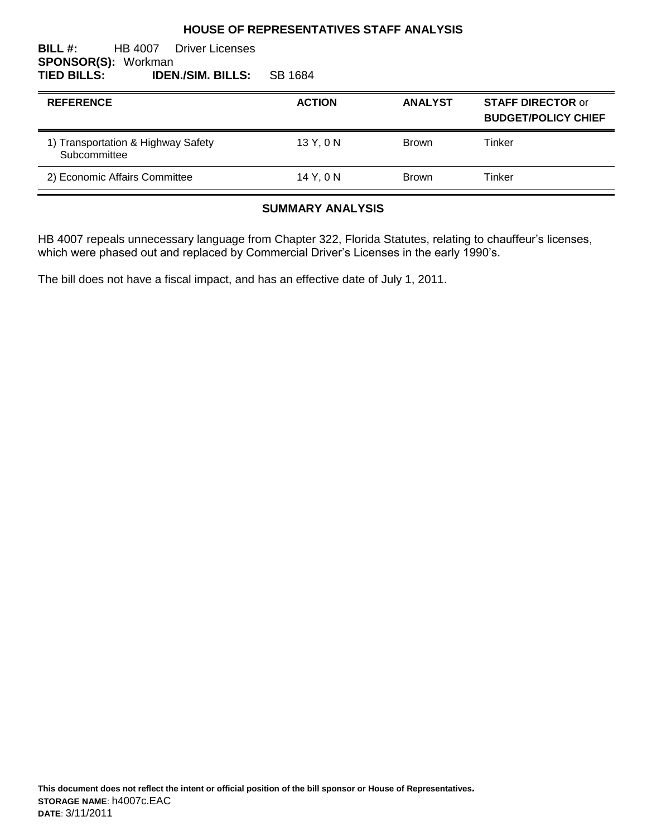#### **HOUSE OF REPRESENTATIVES STAFF ANALYSIS**

#### **BILL #:** HB 4007 Driver Licenses **SPONSOR(S): Workman<br>TIED BILLS: IDEN TIED BILLS: IDEN./SIM. BILLS:** SB 1684

| <b>REFERENCE</b>                                   | <b>ACTION</b> | <b>ANALYST</b> | <b>STAFF DIRECTOR or</b><br><b>BUDGET/POLICY CHIEF</b> |
|----------------------------------------------------|---------------|----------------|--------------------------------------------------------|
| 1) Transportation & Highway Safety<br>Subcommittee | 13Y, 0N       | <b>Brown</b>   | Tinker                                                 |
| 2) Economic Affairs Committee                      | 14 Y. 0 N     | <b>Brown</b>   | Tinker                                                 |

#### **SUMMARY ANALYSIS**

HB 4007 repeals unnecessary language from Chapter 322, Florida Statutes, relating to chauffeur's licenses, which were phased out and replaced by Commercial Driver's Licenses in the early 1990's.

The bill does not have a fiscal impact, and has an effective date of July 1, 2011.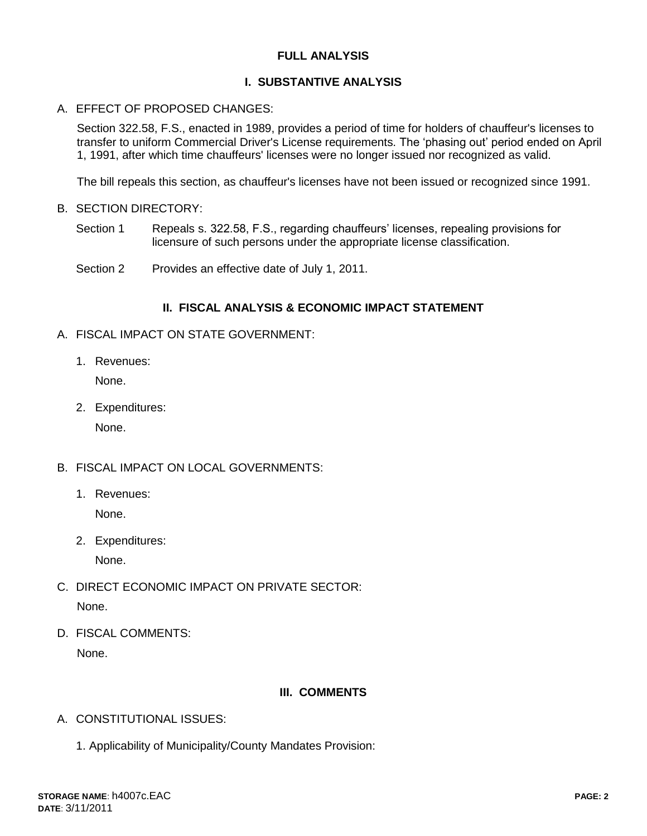### **FULL ANALYSIS**

#### **I. SUBSTANTIVE ANALYSIS**

#### A. EFFECT OF PROPOSED CHANGES:

Section 322.58, F.S., enacted in 1989, provides a period of time for holders of chauffeur's licenses to transfer to uniform Commercial Driver's License requirements. The 'phasing out' period ended on April 1, 1991, after which time chauffeurs' licenses were no longer issued nor recognized as valid.

The bill repeals this section, as chauffeur's licenses have not been issued or recognized since 1991.

- B. SECTION DIRECTORY:
	- Section 1 Repeals s. 322.58, F.S., regarding chauffeurs' licenses, repealing provisions for licensure of such persons under the appropriate license classification.
	- Section 2 Provides an effective date of July 1, 2011.

#### **II. FISCAL ANALYSIS & ECONOMIC IMPACT STATEMENT**

- A. FISCAL IMPACT ON STATE GOVERNMENT:
	- 1. Revenues:

None.

2. Expenditures:

None.

- B. FISCAL IMPACT ON LOCAL GOVERNMENTS:
	- 1. Revenues: None.
	- 2. Expenditures:

None.

- C. DIRECT ECONOMIC IMPACT ON PRIVATE SECTOR: None.
- D. FISCAL COMMENTS: None.

## **III. COMMENTS**

- A. CONSTITUTIONAL ISSUES:
	- 1. Applicability of Municipality/County Mandates Provision: